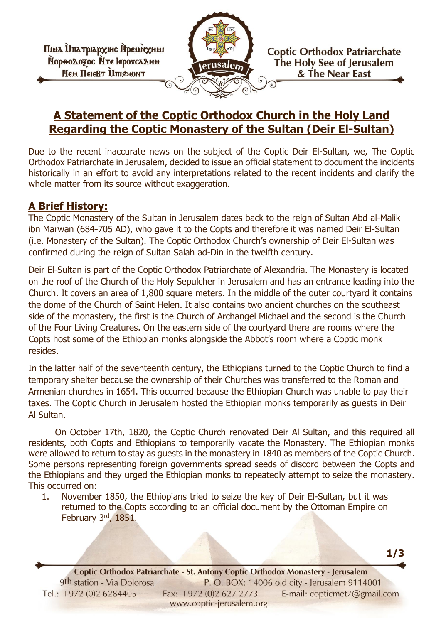Піма Ипатріархінс Йремміхняя Пороодозос Ите leporca Анм **NEW HEIEBT UTIDOWNT** 



**Coptic Orthodox Patriarchate** The Holy See of Jerusalem & The Near East

**1/3**

## **A Statement of the Coptic Orthodox Church in the Holy Land Regarding the Coptic Monastery of the Sultan (Deir El-Sultan)**

Due to the recent inaccurate news on the subject of the Coptic Deir El-Sultan, we, The Coptic Orthodox Patriarchate in Jerusalem, decided to issue an official statement to document the incidents historically in an effort to avoid any interpretations related to the recent incidents and clarify the whole matter from its source without exaggeration.

## **A Brief History:**

The Coptic Monastery of the Sultan in Jerusalem dates back to the reign of Sultan Abd al-Malik ibn Marwan (684-705 AD), who gave it to the Copts and therefore it was named Deir El-Sultan (i.e. Monastery of the Sultan). The Coptic Orthodox Church's ownership of Deir El-Sultan was confirmed during the reign of Sultan Salah ad-Din in the twelfth century.

Deir El-Sultan is part of the Coptic Orthodox Patriarchate of Alexandria. The Monastery is located on the roof of the Church of the Holy Sepulcher in Jerusalem and has an entrance leading into the Church. It covers an area of 1,800 square meters. In the middle of the outer courtyard it contains the dome of the Church of Saint Helen. It also contains two ancient churches on the southeast side of the monastery, the first is the Church of Archangel Michael and the second is the Church of the Four Living Creatures. On the eastern side of the courtyard there are rooms where the Copts host some of the Ethiopian monks alongside the Abbot's room where a Coptic monk resides.

In the latter half of the seventeenth century, the Ethiopians turned to the Coptic Church to find a temporary shelter because the ownership of their Churches was transferred to the Roman and Armenian churches in 1654. This occurred because the Ethiopian Church was unable to pay their taxes. The Coptic Church in Jerusalem hosted the Ethiopian monks temporarily as guests in Deir Al Sultan.

On October 17th, 1820, the Coptic Church renovated Deir Al Sultan, and this required all residents, both Copts and Ethiopians to temporarily vacate the Monastery. The Ethiopian monks were allowed to return to stay as guests in the monastery in 1840 as members of the Coptic Church. Some persons representing foreign governments spread seeds of discord between the Copts and the Ethiopians and they urged the Ethiopian monks to repeatedly attempt to seize the monastery. This occurred on:

1. November 1850, the Ethiopians tried to seize the key of Deir El-Sultan, but it was returned to the Copts according to an official document by the Ottoman Empire on February 3rd, 1851.

**1140 Coptic Orthodox Patriarchate - St. Antony Coptic Orthodox Monastery - Jerusalem 91146<br>1140 P. O. BOX: 14006 old city - Jerusalem 91146** P. O. BOX: 14006 old city - Jerusalem 9114001 Tel.:  $+972(0)26284405$ Fax: +972 (0)2 627 2773 E-mail: copticmet7@gmail.com www.coptic-jerusalem.org